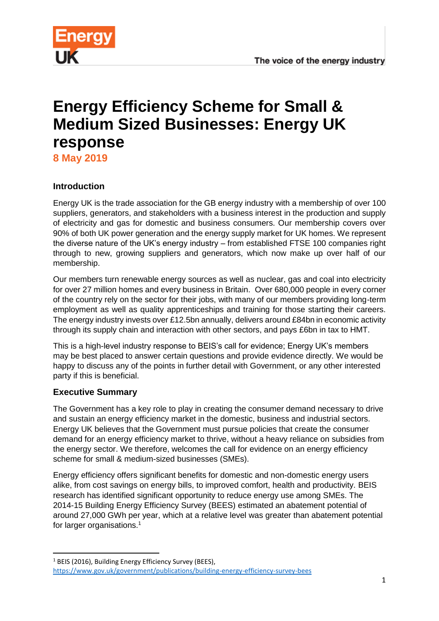

# **Energy Efficiency Scheme for Small & Medium Sized Businesses: Energy UK response**

**8 May 2019**

## **Introduction**

Energy UK is the trade association for the GB energy industry with a membership of over 100 suppliers, generators, and stakeholders with a business interest in the production and supply of electricity and gas for domestic and business consumers. Our membership covers over 90% of both UK power generation and the energy supply market for UK homes. We represent the diverse nature of the UK's energy industry – from established FTSE 100 companies right through to new, growing suppliers and generators, which now make up over half of our membership.

Our members turn renewable energy sources as well as nuclear, gas and coal into electricity for over 27 million homes and every business in Britain. Over 680,000 people in every corner of the country rely on the sector for their jobs, with many of our members providing long-term employment as well as quality apprenticeships and training for those starting their careers. The energy industry invests over £12.5bn annually, delivers around £84bn in economic activity through its supply chain and interaction with other sectors, and pays £6bn in tax to HMT.

This is a high-level industry response to BEIS's call for evidence; Energy UK's members may be best placed to answer certain questions and provide evidence directly. We would be happy to discuss any of the points in further detail with Government, or any other interested party if this is beneficial.

## **Executive Summary**

1

The Government has a key role to play in creating the consumer demand necessary to drive and sustain an energy efficiency market in the domestic, business and industrial sectors. Energy UK believes that the Government must pursue policies that create the consumer demand for an energy efficiency market to thrive, without a heavy reliance on subsidies from the energy sector. We therefore, welcomes the call for evidence on an energy efficiency scheme for small & medium-sized businesses (SMEs).

Energy efficiency offers significant benefits for domestic and non-domestic energy users alike, from cost savings on energy bills, to improved comfort, health and productivity. BEIS research has identified significant opportunity to reduce energy use among SMEs. The 2014-15 Building Energy Efficiency Survey (BEES) estimated an abatement potential of around 27,000 GWh per year, which at a relative level was greater than abatement potential for larger organisations.<sup>1</sup>

<sup>&</sup>lt;sup>1</sup> BEIS (2016), Building Energy Efficiency Survey (BEES),

<https://www.gov.uk/government/publications/building-energy-efficiency-survey-bees>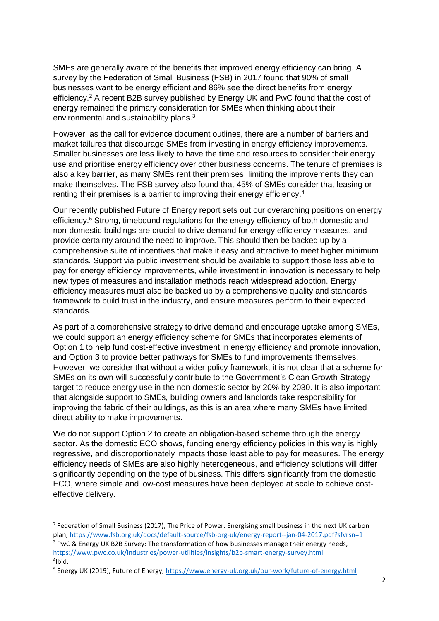SMEs are generally aware of the benefits that improved energy efficiency can bring. A survey by the Federation of Small Business (FSB) in 2017 found that 90% of small businesses want to be energy efficient and 86% see the direct benefits from energy efficiency.<sup>2</sup> A recent B2B survey published by Energy UK and PwC found that the cost of energy remained the primary consideration for SMEs when thinking about their environmental and sustainability plans.<sup>3</sup>

However, as the call for evidence document outlines, there are a number of barriers and market failures that discourage SMEs from investing in energy efficiency improvements. Smaller businesses are less likely to have the time and resources to consider their energy use and prioritise energy efficiency over other business concerns. The tenure of premises is also a key barrier, as many SMEs rent their premises, limiting the improvements they can make themselves. The FSB survey also found that 45% of SMEs consider that leasing or renting their premises is a barrier to improving their energy efficiency.<sup>4</sup>

Our recently published Future of Energy report sets out our overarching positions on energy efficiency.<sup>5</sup> Strong, timebound regulations for the energy efficiency of both domestic and non-domestic buildings are crucial to drive demand for energy efficiency measures, and provide certainty around the need to improve. This should then be backed up by a comprehensive suite of incentives that make it easy and attractive to meet higher minimum standards. Support via public investment should be available to support those less able to pay for energy efficiency improvements, while investment in innovation is necessary to help new types of measures and installation methods reach widespread adoption. Energy efficiency measures must also be backed up by a comprehensive quality and standards framework to build trust in the industry, and ensure measures perform to their expected standards.

As part of a comprehensive strategy to drive demand and encourage uptake among SMEs, we could support an energy efficiency scheme for SMEs that incorporates elements of Option 1 to help fund cost-effective investment in energy efficiency and promote innovation, and Option 3 to provide better pathways for SMEs to fund improvements themselves. However, we consider that without a wider policy framework, it is not clear that a scheme for SMEs on its own will successfully contribute to the Government's Clean Growth Strategy target to reduce energy use in the non-domestic sector by 20% by 2030. It is also important that alongside support to SMEs, building owners and landlords take responsibility for improving the fabric of their buildings, as this is an area where many SMEs have limited direct ability to make improvements.

We do not support Option 2 to create an obligation-based scheme through the energy sector. As the domestic ECO shows, funding energy efficiency policies in this way is highly regressive, and disproportionately impacts those least able to pay for measures. The energy efficiency needs of SMEs are also highly heterogeneous, and efficiency solutions will differ significantly depending on the type of business. This differs significantly from the domestic ECO, where simple and low-cost measures have been deployed at scale to achieve costeffective delivery.

**.** 

<sup>&</sup>lt;sup>2</sup> Federation of Small Business (2017), The Price of Power: Energising small business in the next UK carbon plan[, https://www.fsb.org.uk/docs/default-source/fsb-org-uk/energy-report--jan-04-2017.pdf?sfvrsn=1](https://www.fsb.org.uk/docs/default-source/fsb-org-uk/energy-report--jan-04-2017.pdf?sfvrsn=1) <sup>3</sup> PwC & Energy UK B2B Survey: The transformation of how businesses manage their energy needs,

<https://www.pwc.co.uk/industries/power-utilities/insights/b2b-smart-energy-survey.html> 4 Ibid.

<sup>&</sup>lt;sup>5</sup> Energy UK (2019), Future of Energy,<https://www.energy-uk.org.uk/our-work/future-of-energy.html>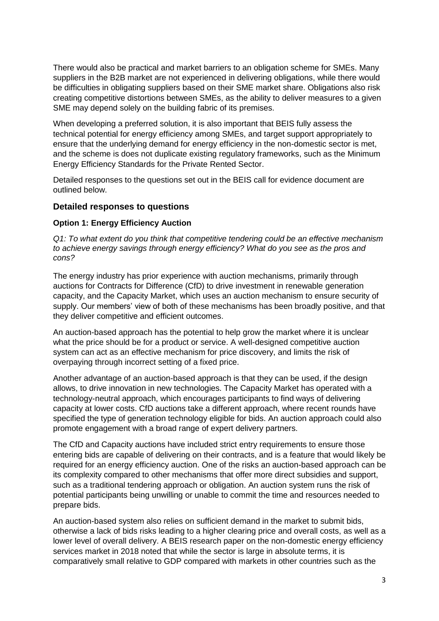There would also be practical and market barriers to an obligation scheme for SMEs. Many suppliers in the B2B market are not experienced in delivering obligations, while there would be difficulties in obligating suppliers based on their SME market share. Obligations also risk creating competitive distortions between SMEs, as the ability to deliver measures to a given SME may depend solely on the building fabric of its premises.

When developing a preferred solution, it is also important that BEIS fully assess the technical potential for energy efficiency among SMEs, and target support appropriately to ensure that the underlying demand for energy efficiency in the non-domestic sector is met, and the scheme is does not duplicate existing regulatory frameworks, such as the Minimum Energy Efficiency Standards for the Private Rented Sector.

Detailed responses to the questions set out in the BEIS call for evidence document are outlined below.

#### **Detailed responses to questions**

## **Option 1: Energy Efficiency Auction**

*Q1: To what extent do you think that competitive tendering could be an effective mechanism to achieve energy savings through energy efficiency? What do you see as the pros and cons?*

The energy industry has prior experience with auction mechanisms, primarily through auctions for Contracts for Difference (CfD) to drive investment in renewable generation capacity, and the Capacity Market, which uses an auction mechanism to ensure security of supply. Our members' view of both of these mechanisms has been broadly positive, and that they deliver competitive and efficient outcomes.

An auction-based approach has the potential to help grow the market where it is unclear what the price should be for a product or service. A well-designed competitive auction system can act as an effective mechanism for price discovery, and limits the risk of overpaying through incorrect setting of a fixed price.

Another advantage of an auction-based approach is that they can be used, if the design allows, to drive innovation in new technologies. The Capacity Market has operated with a technology-neutral approach, which encourages participants to find ways of delivering capacity at lower costs. CfD auctions take a different approach, where recent rounds have specified the type of generation technology eligible for bids. An auction approach could also promote engagement with a broad range of expert delivery partners.

The CfD and Capacity auctions have included strict entry requirements to ensure those entering bids are capable of delivering on their contracts, and is a feature that would likely be required for an energy efficiency auction. One of the risks an auction-based approach can be its complexity compared to other mechanisms that offer more direct subsidies and support, such as a traditional tendering approach or obligation. An auction system runs the risk of potential participants being unwilling or unable to commit the time and resources needed to prepare bids.

An auction-based system also relies on sufficient demand in the market to submit bids, otherwise a lack of bids risks leading to a higher clearing price and overall costs, as well as a lower level of overall delivery. A BEIS research paper on the non-domestic energy efficiency services market in 2018 noted that while the sector is large in absolute terms, it is comparatively small relative to GDP compared with markets in other countries such as the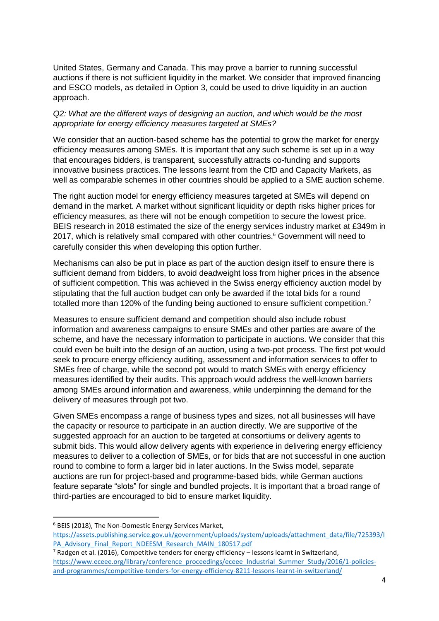United States, Germany and Canada. This may prove a barrier to running successful auctions if there is not sufficient liquidity in the market. We consider that improved financing and ESCO models, as detailed in Option 3, could be used to drive liquidity in an auction approach.

#### *Q2: What are the different ways of designing an auction, and which would be the most appropriate for energy efficiency measures targeted at SMEs?*

We consider that an auction-based scheme has the potential to grow the market for energy efficiency measures among SMEs. It is important that any such scheme is set up in a way that encourages bidders, is transparent, successfully attracts co-funding and supports innovative business practices. The lessons learnt from the CfD and Capacity Markets, as well as comparable schemes in other countries should be applied to a SME auction scheme.

The right auction model for energy efficiency measures targeted at SMEs will depend on demand in the market. A market without significant liquidity or depth risks higher prices for efficiency measures, as there will not be enough competition to secure the lowest price. BEIS research in 2018 estimated the size of the energy services industry market at £349m in 2017, which is relatively small compared with other countries.<sup>6</sup> Government will need to carefully consider this when developing this option further.

Mechanisms can also be put in place as part of the auction design itself to ensure there is sufficient demand from bidders, to avoid deadweight loss from higher prices in the absence of sufficient competition. This was achieved in the Swiss energy efficiency auction model by stipulating that the full auction budget can only be awarded if the total bids for a round totalled more than 120% of the funding being auctioned to ensure sufficient competition.<sup>7</sup>

Measures to ensure sufficient demand and competition should also include robust information and awareness campaigns to ensure SMEs and other parties are aware of the scheme, and have the necessary information to participate in auctions. We consider that this could even be built into the design of an auction, using a two-pot process. The first pot would seek to procure energy efficiency auditing, assessment and information services to offer to SMEs free of charge, while the second pot would to match SMEs with energy efficiency measures identified by their audits. This approach would address the well-known barriers among SMEs around information and awareness, while underpinning the demand for the delivery of measures through pot two.

Given SMEs encompass a range of business types and sizes, not all businesses will have the capacity or resource to participate in an auction directly. We are supportive of the suggested approach for an auction to be targeted at consortiums or delivery agents to submit bids. This would allow delivery agents with experience in delivering energy efficiency measures to deliver to a collection of SMEs, or for bids that are not successful in one auction round to combine to form a larger bid in later auctions. In the Swiss model, separate auctions are run for project-based and programme-based bids, while German auctions feature separate "slots" for single and bundled projects. It is important that a broad range of third-parties are encouraged to bid to ensure market liquidity.

**.** 

<sup>6</sup> BEIS (2018), The Non-Domestic Energy Services Market,

[https://assets.publishing.service.gov.uk/government/uploads/system/uploads/attachment\\_data/file/725393/I](https://assets.publishing.service.gov.uk/government/uploads/system/uploads/attachment_data/file/725393/IPA_Advisory_Final_Report_NDEESM_Research_MAIN_180517.pdf) [PA\\_Advisory\\_Final\\_Report\\_NDEESM\\_Research\\_MAIN\\_180517.pdf](https://assets.publishing.service.gov.uk/government/uploads/system/uploads/attachment_data/file/725393/IPA_Advisory_Final_Report_NDEESM_Research_MAIN_180517.pdf)

 $<sup>7</sup>$  Radgen et al. (2016), Competitive tenders for energy efficiency – lessons learnt in Switzerland,</sup> [https://www.eceee.org/library/conference\\_proceedings/eceee\\_Industrial\\_Summer\\_Study/2016/1-policies](https://www.eceee.org/library/conference_proceedings/eceee_Industrial_Summer_Study/2016/1-policies-and-programmes/competitive-tenders-for-energy-efficiency-8211-lessons-learnt-in-switzerland/)[and-programmes/competitive-tenders-for-energy-efficiency-8211-lessons-learnt-in-switzerland/](https://www.eceee.org/library/conference_proceedings/eceee_Industrial_Summer_Study/2016/1-policies-and-programmes/competitive-tenders-for-energy-efficiency-8211-lessons-learnt-in-switzerland/)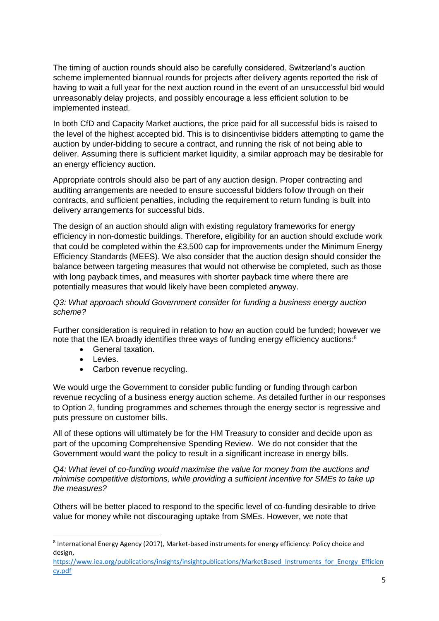The timing of auction rounds should also be carefully considered. Switzerland's auction scheme implemented biannual rounds for projects after delivery agents reported the risk of having to wait a full year for the next auction round in the event of an unsuccessful bid would unreasonably delay projects, and possibly encourage a less efficient solution to be implemented instead.

In both CfD and Capacity Market auctions, the price paid for all successful bids is raised to the level of the highest accepted bid. This is to disincentivise bidders attempting to game the auction by under-bidding to secure a contract, and running the risk of not being able to deliver. Assuming there is sufficient market liquidity, a similar approach may be desirable for an energy efficiency auction.

Appropriate controls should also be part of any auction design. Proper contracting and auditing arrangements are needed to ensure successful bidders follow through on their contracts, and sufficient penalties, including the requirement to return funding is built into delivery arrangements for successful bids.

The design of an auction should align with existing regulatory frameworks for energy efficiency in non-domestic buildings. Therefore, eligibility for an auction should exclude work that could be completed within the £3,500 cap for improvements under the Minimum Energy Efficiency Standards (MEES). We also consider that the auction design should consider the balance between targeting measures that would not otherwise be completed, such as those with long payback times, and measures with shorter payback time where there are potentially measures that would likely have been completed anyway.

#### *Q3: What approach should Government consider for funding a business energy auction scheme?*

Further consideration is required in relation to how an auction could be funded; however we note that the IEA broadly identifies three ways of funding energy efficiency auctions:<sup>8</sup>

- General taxation.
- Levies.

1

• Carbon revenue recycling.

We would urge the Government to consider public funding or funding through carbon revenue recycling of a business energy auction scheme. As detailed further in our responses to Option 2, funding programmes and schemes through the energy sector is regressive and puts pressure on customer bills.

All of these options will ultimately be for the HM Treasury to consider and decide upon as part of the upcoming Comprehensive Spending Review. We do not consider that the Government would want the policy to result in a significant increase in energy bills.

*Q4: What level of co-funding would maximise the value for money from the auctions and minimise competitive distortions, while providing a sufficient incentive for SMEs to take up the measures?*

Others will be better placed to respond to the specific level of co-funding desirable to drive value for money while not discouraging uptake from SMEs. However, we note that

<sup>&</sup>lt;sup>8</sup> International Energy Agency (2017), Market-based instruments for energy efficiency: Policy choice and design,

[https://www.iea.org/publications/insights/insightpublications/MarketBased\\_Instruments\\_for\\_Energy\\_Efficien](https://www.iea.org/publications/insights/insightpublications/MarketBased_Instruments_for_Energy_Efficiency.pdf) [cy.pdf](https://www.iea.org/publications/insights/insightpublications/MarketBased_Instruments_for_Energy_Efficiency.pdf)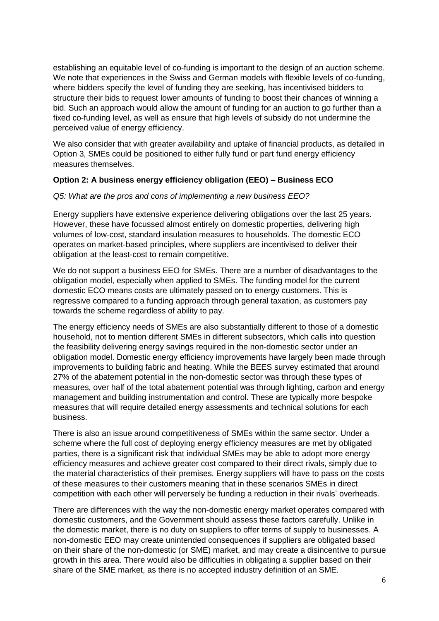establishing an equitable level of co-funding is important to the design of an auction scheme. We note that experiences in the Swiss and German models with flexible levels of co-funding, where bidders specify the level of funding they are seeking, has incentivised bidders to structure their bids to request lower amounts of funding to boost their chances of winning a bid. Such an approach would allow the amount of funding for an auction to go further than a fixed co-funding level, as well as ensure that high levels of subsidy do not undermine the perceived value of energy efficiency.

We also consider that with greater availability and uptake of financial products, as detailed in Option 3, SMEs could be positioned to either fully fund or part fund energy efficiency measures themselves.

#### **Option 2: A business energy efficiency obligation (EEO) – Business ECO**

#### *Q5: What are the pros and cons of implementing a new business EEO?*

Energy suppliers have extensive experience delivering obligations over the last 25 years. However, these have focussed almost entirely on domestic properties, delivering high volumes of low-cost, standard insulation measures to households. The domestic ECO operates on market-based principles, where suppliers are incentivised to deliver their obligation at the least-cost to remain competitive.

We do not support a business EEO for SMEs. There are a number of disadvantages to the obligation model, especially when applied to SMEs. The funding model for the current domestic ECO means costs are ultimately passed on to energy customers. This is regressive compared to a funding approach through general taxation, as customers pay towards the scheme regardless of ability to pay.

The energy efficiency needs of SMEs are also substantially different to those of a domestic household, not to mention different SMEs in different subsectors, which calls into question the feasibility delivering energy savings required in the non-domestic sector under an obligation model. Domestic energy efficiency improvements have largely been made through improvements to building fabric and heating. While the BEES survey estimated that around 27% of the abatement potential in the non-domestic sector was through these types of measures, over half of the total abatement potential was through lighting, carbon and energy management and building instrumentation and control. These are typically more bespoke measures that will require detailed energy assessments and technical solutions for each business.

There is also an issue around competitiveness of SMEs within the same sector. Under a scheme where the full cost of deploying energy efficiency measures are met by obligated parties, there is a significant risk that individual SMEs may be able to adopt more energy efficiency measures and achieve greater cost compared to their direct rivals, simply due to the material characteristics of their premises. Energy suppliers will have to pass on the costs of these measures to their customers meaning that in these scenarios SMEs in direct competition with each other will perversely be funding a reduction in their rivals' overheads.

There are differences with the way the non-domestic energy market operates compared with domestic customers, and the Government should assess these factors carefully. Unlike in the domestic market, there is no duty on suppliers to offer terms of supply to businesses. A non-domestic EEO may create unintended consequences if suppliers are obligated based on their share of the non-domestic (or SME) market, and may create a disincentive to pursue growth in this area. There would also be difficulties in obligating a supplier based on their share of the SME market, as there is no accepted industry definition of an SME.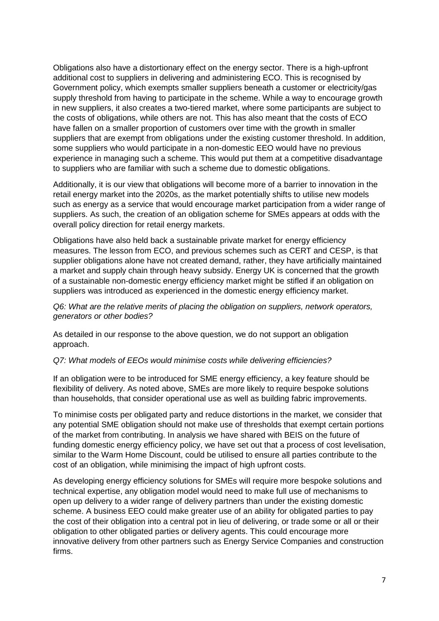Obligations also have a distortionary effect on the energy sector. There is a high-upfront additional cost to suppliers in delivering and administering ECO. This is recognised by Government policy, which exempts smaller suppliers beneath a customer or electricity/gas supply threshold from having to participate in the scheme. While a way to encourage growth in new suppliers, it also creates a two-tiered market, where some participants are subject to the costs of obligations, while others are not. This has also meant that the costs of ECO have fallen on a smaller proportion of customers over time with the growth in smaller suppliers that are exempt from obligations under the existing customer threshold. In addition, some suppliers who would participate in a non-domestic EEO would have no previous experience in managing such a scheme. This would put them at a competitive disadvantage to suppliers who are familiar with such a scheme due to domestic obligations.

Additionally, it is our view that obligations will become more of a barrier to innovation in the retail energy market into the 2020s, as the market potentially shifts to utilise new models such as energy as a service that would encourage market participation from a wider range of suppliers. As such, the creation of an obligation scheme for SMEs appears at odds with the overall policy direction for retail energy markets.

Obligations have also held back a sustainable private market for energy efficiency measures. The lesson from ECO, and previous schemes such as CERT and CESP, is that supplier obligations alone have not created demand, rather, they have artificially maintained a market and supply chain through heavy subsidy. Energy UK is concerned that the growth of a sustainable non-domestic energy efficiency market might be stifled if an obligation on suppliers was introduced as experienced in the domestic energy efficiency market.

#### *Q6: What are the relative merits of placing the obligation on suppliers, network operators, generators or other bodies?*

As detailed in our response to the above question, we do not support an obligation approach.

#### *Q7: What models of EEOs would minimise costs while delivering efficiencies?*

If an obligation were to be introduced for SME energy efficiency, a key feature should be flexibility of delivery. As noted above, SMEs are more likely to require bespoke solutions than households, that consider operational use as well as building fabric improvements.

To minimise costs per obligated party and reduce distortions in the market, we consider that any potential SME obligation should not make use of thresholds that exempt certain portions of the market from contributing. In analysis we have shared with BEIS on the future of funding domestic energy efficiency policy, we have set out that a process of cost levelisation, similar to the Warm Home Discount, could be utilised to ensure all parties contribute to the cost of an obligation, while minimising the impact of high upfront costs.

As developing energy efficiency solutions for SMEs will require more bespoke solutions and technical expertise, any obligation model would need to make full use of mechanisms to open up delivery to a wider range of delivery partners than under the existing domestic scheme. A business EEO could make greater use of an ability for obligated parties to pay the cost of their obligation into a central pot in lieu of delivering, or trade some or all or their obligation to other obligated parties or delivery agents. This could encourage more innovative delivery from other partners such as Energy Service Companies and construction firms.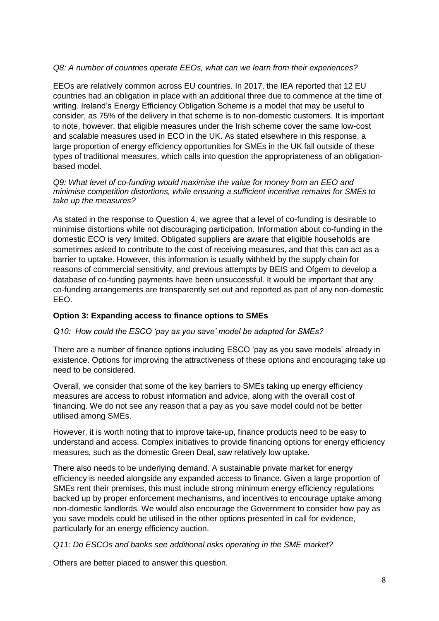## *Q8: A number of countries operate EEOs, what can we learn from their experiences?*

EEOs are relatively common across EU countries. In 2017, the IEA reported that 12 EU countries had an obligation in place with an additional three due to commence at the time of writing. Ireland's Energy Efficiency Obligation Scheme is a model that may be useful to consider, as 75% of the delivery in that scheme is to non-domestic customers. It is important to note, however, that eligible measures under the Irish scheme cover the same low-cost and scalable measures used in ECO in the UK. As stated elsewhere in this response, a large proportion of energy efficiency opportunities for SMEs in the UK fall outside of these types of traditional measures, which calls into question the appropriateness of an obligationbased model.

*Q9: What level of co-funding would maximise the value for money from an EEO and minimise competition distortions, while ensuring a sufficient incentive remains for SMEs to take up the measures?*

As stated in the response to Question 4, we agree that a level of co-funding is desirable to minimise distortions while not discouraging participation. Information about co-funding in the domestic ECO is very limited. Obligated suppliers are aware that eligible households are sometimes asked to contribute to the cost of receiving measures, and that this can act as a barrier to uptake. However, this information is usually withheld by the supply chain for reasons of commercial sensitivity, and previous attempts by BEIS and Ofgem to develop a database of co-funding payments have been unsuccessful. It would be important that any co-funding arrangements are transparently set out and reported as part of any non-domestic EEO.

#### **Option 3: Expanding access to finance options to SMEs**

*Q10: How could the ESCO 'pay as you save' model be adapted for SMEs?*

There are a number of finance options including ESCO 'pay as you save models' already in existence. Options for improving the attractiveness of these options and encouraging take up need to be considered.

Overall, we consider that some of the key barriers to SMEs taking up energy efficiency measures are access to robust information and advice, along with the overall cost of financing. We do not see any reason that a pay as you save model could not be better utilised among SMEs.

However, it is worth noting that to improve take-up, finance products need to be easy to understand and access. Complex initiatives to provide financing options for energy efficiency measures, such as the domestic Green Deal, saw relatively low uptake.

There also needs to be underlying demand. A sustainable private market for energy efficiency is needed alongside any expanded access to finance. Given a large proportion of SMEs rent their premises, this must include strong minimum energy efficiency regulations backed up by proper enforcement mechanisms, and incentives to encourage uptake among non-domestic landlords. We would also encourage the Government to consider how pay as you save models could be utilised in the other options presented in call for evidence, particularly for an energy efficiency auction.

*Q11: Do ESCOs and banks see additional risks operating in the SME market?*

Others are better placed to answer this question.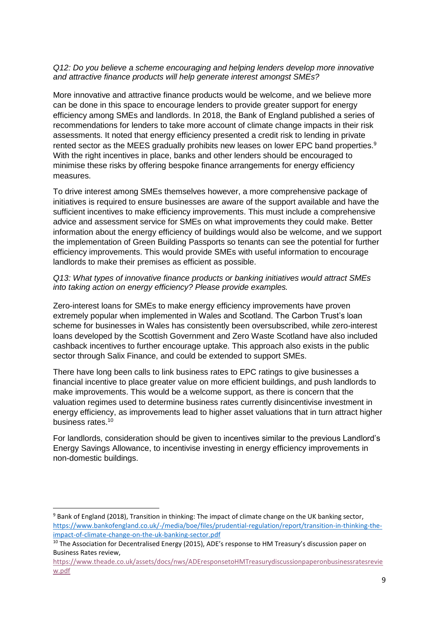#### *Q12: Do you believe a scheme encouraging and helping lenders develop more innovative and attractive finance products will help generate interest amongst SMEs?*

More innovative and attractive finance products would be welcome, and we believe more can be done in this space to encourage lenders to provide greater support for energy efficiency among SMEs and landlords. In 2018, the Bank of England published a series of recommendations for lenders to take more account of climate change impacts in their risk assessments. It noted that energy efficiency presented a credit risk to lending in private rented sector as the MEES gradually prohibits new leases on lower EPC band properties.<sup>9</sup> With the right incentives in place, banks and other lenders should be encouraged to minimise these risks by offering bespoke finance arrangements for energy efficiency measures.

To drive interest among SMEs themselves however, a more comprehensive package of initiatives is required to ensure businesses are aware of the support available and have the sufficient incentives to make efficiency improvements. This must include a comprehensive advice and assessment service for SMEs on what improvements they could make. Better information about the energy efficiency of buildings would also be welcome, and we support the implementation of Green Building Passports so tenants can see the potential for further efficiency improvements. This would provide SMEs with useful information to encourage landlords to make their premises as efficient as possible.

#### *Q13: What types of innovative finance products or banking initiatives would attract SMEs into taking action on energy efficiency? Please provide examples.*

Zero-interest loans for SMEs to make energy efficiency improvements have proven extremely popular when implemented in Wales and Scotland. The Carbon Trust's loan scheme for businesses in Wales has consistently been oversubscribed, while zero-interest loans developed by the Scottish Government and Zero Waste Scotland have also included cashback incentives to further encourage uptake. This approach also exists in the public sector through Salix Finance, and could be extended to support SMEs.

There have long been calls to link business rates to EPC ratings to give businesses a financial incentive to place greater value on more efficient buildings, and push landlords to make improvements. This would be a welcome support, as there is concern that the valuation regimes used to determine business rates currently disincentivise investment in energy efficiency, as improvements lead to higher asset valuations that in turn attract higher business rates. 10

For landlords, consideration should be given to incentives similar to the previous Landlord's Energy Savings Allowance, to incentivise investing in energy efficiency improvements in non-domestic buildings.

**.** 

<sup>&</sup>lt;sup>9</sup> Bank of England (2018), Transition in thinking: The impact of climate change on the UK banking sector, [https://www.bankofengland.co.uk/-/media/boe/files/prudential-regulation/report/transition-in-thinking-the](https://www.bankofengland.co.uk/-/media/boe/files/prudential-regulation/report/transition-in-thinking-the-impact-of-climate-change-on-the-uk-banking-sector.pdf)[impact-of-climate-change-on-the-uk-banking-sector.pdf](https://www.bankofengland.co.uk/-/media/boe/files/prudential-regulation/report/transition-in-thinking-the-impact-of-climate-change-on-the-uk-banking-sector.pdf)

<sup>&</sup>lt;sup>10</sup> The Association for Decentralised Energy (2015), ADE's response to HM Treasury's discussion paper on Business Rates review,

[https://www.theade.co.uk/assets/docs/nws/ADEresponsetoHMTreasurydiscussionpaperonbusinessratesrevie](https://www.theade.co.uk/assets/docs/nws/ADEresponsetoHMTreasurydiscussionpaperonbusinessratesreview.pdf) [w.pdf](https://www.theade.co.uk/assets/docs/nws/ADEresponsetoHMTreasurydiscussionpaperonbusinessratesreview.pdf)